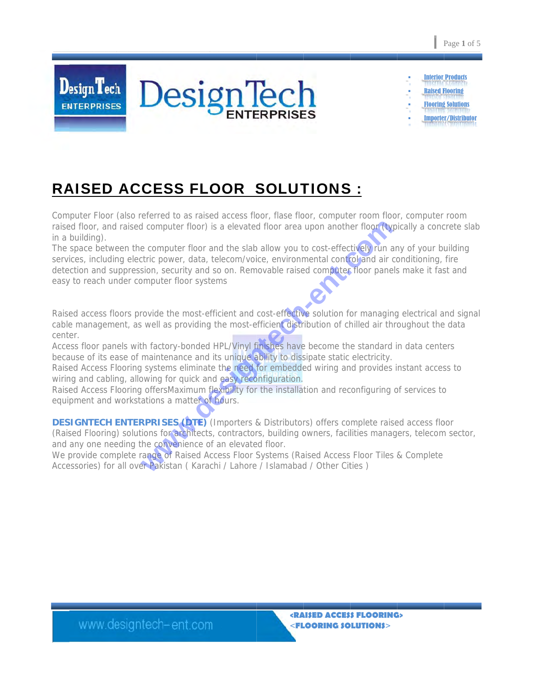

**Interior Products Raised Flooring Flooring Solutions Importer/Distributor** 

# **RAISED ACCESS FLOOR SOLUTIONS:**

Computer Floor (also referred to as raised access floor, flase floor, computer room floor, computer room raised floor, and raised computer floor) is a elevated floor area upon another floor (typically a concrete slab in a building).

The space between the computer floor and the slab allow you to cost-effectively run any of your building services, including electric power, data, telecom/voice, environmental control and air conditioning, fire detection and suppression, security and so on. Removable raised computer floor panels make it fast and easy to reach under computer floor systems

Raised access floors provide the most-efficient and cost-effective solution for managing electrical and signal cable management, as well as providing the most-efficient distribution of chilled air throughout the data center.

Access floor panels with factory-bonded HPL/Vinyl finishes have become the standard in data centers because of its ease of maintenance and its unique ability to dissipate static electricity.

Raised Access Flooring systems eliminate the need for embedded wiring and provides instant access to wiring and cabling, allowing for quick and easy reconfiguration.

Raised Access Flooring offersMaximum flexibility for the installation and reconfiguring of services to equipment and workstations a matter of hours.

**DESIGNTECH ENTERPRISES (DTE)** (Importers & Distributors) offers complete raised access floor (Raised Flooring) solutions for architects, contractors, building owners, facilities managers, telecom sector, and any one needing the convenience of an elevated floor.

We provide complete range of Raised Access Floor Systems (Raised Access Floor Tiles & Complete Accessories) for all over Pakistan (Karachi / Lahore / Islamabad / Other Cities)

www.designtech-ent.com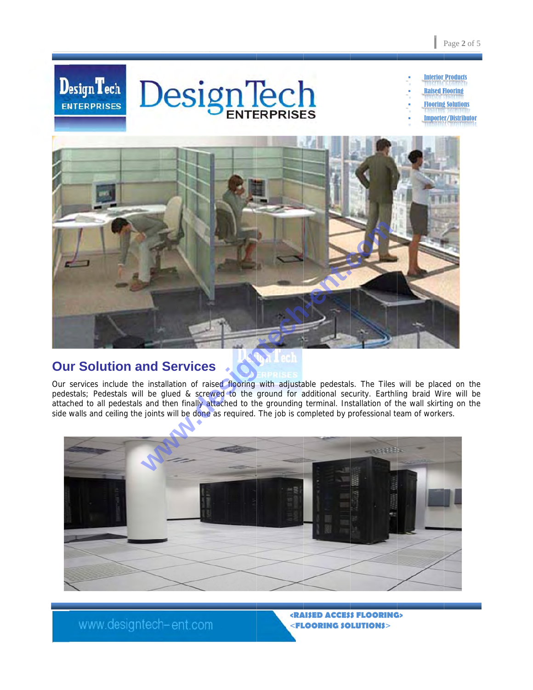

- **Raised Flooring** 
	- **Flooring Solutions**
	- **Importer/Distributor**



#### **Our Solution and Services**

Our services include the installation of raised flooring with adjustable pedestals. The Tiles will be placed on the pedestals; Pedestals will be glued & screwed to the ground for additional security. Earthling braid Wire will be attached to all pedestals and then finally attached to the grounding terminal. Installation of the wall skirting on the side walls and ceiling the joints will be done as required. The job is completed by professional team of workers.



www.designtech-ent.com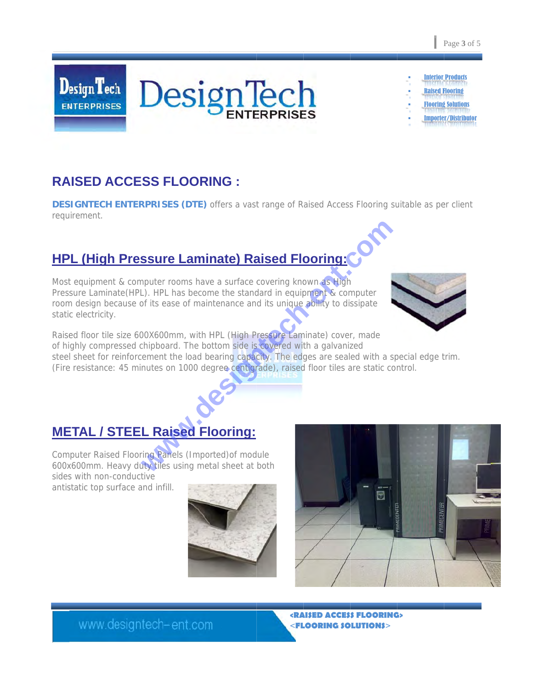**Raised Flooring** 

**Flooring Solutions Importer/Distributor** 

# **RAISED ACCESS FLOORING :**

**DESIGNTECH ENTERPRISES (DTE)** offers a vast range of Raised Access Flooring suitable as per client requirement.

# **HPL (High Pressure Laminate) Raised Flooring:**

Most equipment & computer rooms have a surface covering known as High Pressure Laminate (HPL). HPL has become the standard in equipment & computer room design because of its ease of maintenance and its unique ability to dissipate static electricity.

Raised floor tile size 600X600mm, with HPL (High Pressure Laminate) cover, made of highly compressed chipboard. The bottom side is covered with a galvanized steel sheet for reinforcement the load bearing capacity. The edges are sealed with a special edge trim. (Fire resistance: 45 minutes on 1000 degree centigrade), raised floor tiles are static control.

### **METAL / STEEL Raised Flooring:**

www.designtech-ent.com

Computer Raised Flooring Panels (Imported) of module 600x600mm. Heavy duty tiles using metal sheet at both sides with non-conductive

antistatic top surface and infill.











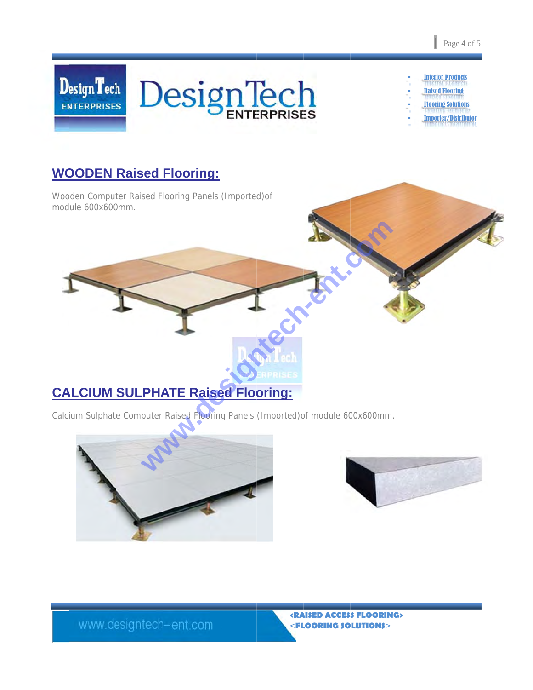

- **Raised Flooring**
- **Flooring Solutions**
- mporter/Distributor

## **WOODEN Raised Flooring:**

Wooden Computer Raised Flooring Panels (Imported) of module 600x600mm.

# **CALCIUM SULPHATE Raised Flooring:**

Calcium Sulphate Computer Raised Flooring Panels (Imported) of module 600x600mm.





www.designtech-ent.com